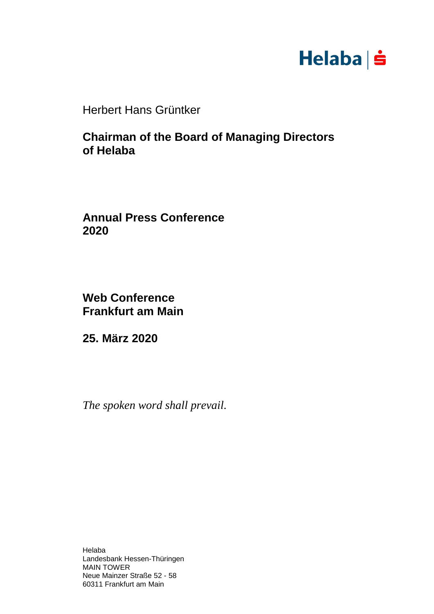## $Helaba \nvert \nvert$

Herbert Hans Grüntker

**Chairman of the Board of Managing Directors of Helaba**

**Annual Press Conference 2020**

**Web Conference Frankfurt am Main**

**25. März 2020**

*The spoken word shall prevail.*

Helaba Landesbank Hessen-Thüringen MAIN TOWER Neue Mainzer Straße 52 - 58 60311 Frankfurt am Main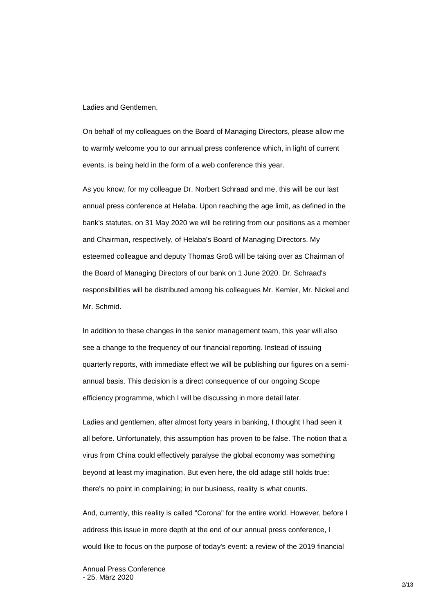Ladies and Gentlemen,

On behalf of my colleagues on the Board of Managing Directors, please allow me to warmly welcome you to our annual press conference which, in light of current events, is being held in the form of a web conference this year.

As you know, for my colleague Dr. Norbert Schraad and me, this will be our last annual press conference at Helaba. Upon reaching the age limit, as defined in the bank's statutes, on 31 May 2020 we will be retiring from our positions as a member and Chairman, respectively, of Helaba's Board of Managing Directors. My esteemed colleague and deputy Thomas Groß will be taking over as Chairman of the Board of Managing Directors of our bank on 1 June 2020. Dr. Schraad's responsibilities will be distributed among his colleagues Mr. Kemler, Mr. Nickel and Mr. Schmid.

In addition to these changes in the senior management team, this year will also see a change to the frequency of our financial reporting. Instead of issuing quarterly reports, with immediate effect we will be publishing our figures on a semiannual basis. This decision is a direct consequence of our ongoing Scope efficiency programme, which I will be discussing in more detail later.

Ladies and gentlemen, after almost forty years in banking, I thought I had seen it all before. Unfortunately, this assumption has proven to be false. The notion that a virus from China could effectively paralyse the global economy was something beyond at least my imagination. But even here, the old adage still holds true: there's no point in complaining; in our business, reality is what counts.

And, currently, this reality is called "Corona" for the entire world. However, before I address this issue in more depth at the end of our annual press conference, I would like to focus on the purpose of today's event: a review of the 2019 financial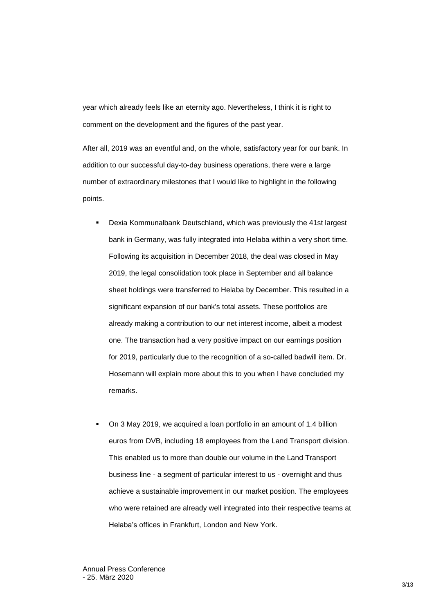year which already feels like an eternity ago. Nevertheless, I think it is right to comment on the development and the figures of the past year.

After all, 2019 was an eventful and, on the whole, satisfactory year for our bank. In addition to our successful day-to-day business operations, there were a large number of extraordinary milestones that I would like to highlight in the following points.

- Dexia Kommunalbank Deutschland, which was previously the 41st largest bank in Germany, was fully integrated into Helaba within a very short time. Following its acquisition in December 2018, the deal was closed in May 2019, the legal consolidation took place in September and all balance sheet holdings were transferred to Helaba by December. This resulted in a significant expansion of our bank's total assets. These portfolios are already making a contribution to our net interest income, albeit a modest one. The transaction had a very positive impact on our earnings position for 2019, particularly due to the recognition of a so-called badwill item. Dr. Hosemann will explain more about this to you when I have concluded my remarks.
- On 3 May 2019, we acquired a loan portfolio in an amount of 1.4 billion euros from DVB, including 18 employees from the Land Transport division. This enabled us to more than double our volume in the Land Transport business line - a segment of particular interest to us - overnight and thus achieve a sustainable improvement in our market position. The employees who were retained are already well integrated into their respective teams at Helaba's offices in Frankfurt, London and New York.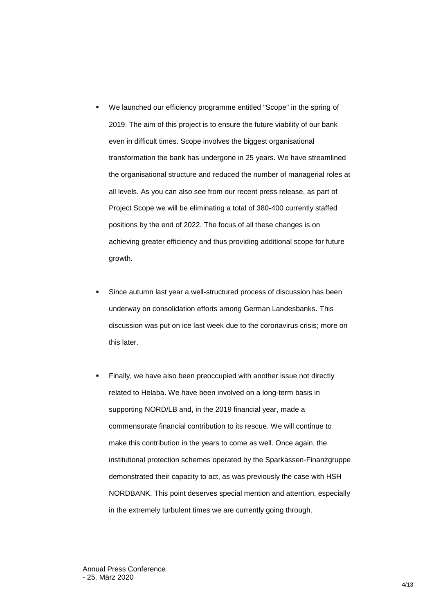- We launched our efficiency programme entitled "Scope" in the spring of 2019. The aim of this project is to ensure the future viability of our bank even in difficult times. Scope involves the biggest organisational transformation the bank has undergone in 25 years. We have streamlined the organisational structure and reduced the number of managerial roles at all levels. As you can also see from our recent press release, as part of Project Scope we will be eliminating a total of 380-400 currently staffed positions by the end of 2022. The focus of all these changes is on achieving greater efficiency and thus providing additional scope for future growth.
- Since autumn last year a well-structured process of discussion has been underway on consolidation efforts among German Landesbanks. This discussion was put on ice last week due to the coronavirus crisis; more on this later.
- Finally, we have also been preoccupied with another issue not directly related to Helaba. We have been involved on a long-term basis in supporting NORD/LB and, in the 2019 financial year, made a commensurate financial contribution to its rescue. We will continue to make this contribution in the years to come as well. Once again, the institutional protection schemes operated by the Sparkassen-Finanzgruppe demonstrated their capacity to act, as was previously the case with HSH NORDBANK. This point deserves special mention and attention, especially in the extremely turbulent times we are currently going through.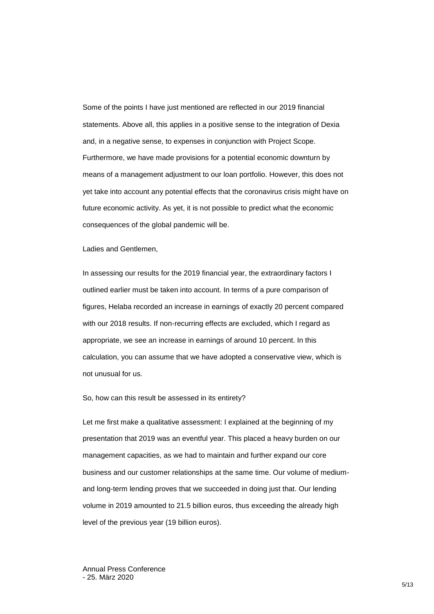Some of the points I have just mentioned are reflected in our 2019 financial statements. Above all, this applies in a positive sense to the integration of Dexia and, in a negative sense, to expenses in conjunction with Project Scope. Furthermore, we have made provisions for a potential economic downturn by means of a management adjustment to our loan portfolio. However, this does not yet take into account any potential effects that the coronavirus crisis might have on future economic activity. As yet, it is not possible to predict what the economic consequences of the global pandemic will be.

Ladies and Gentlemen,

In assessing our results for the 2019 financial year, the extraordinary factors I outlined earlier must be taken into account. In terms of a pure comparison of figures, Helaba recorded an increase in earnings of exactly 20 percent compared with our 2018 results. If non-recurring effects are excluded, which I regard as appropriate, we see an increase in earnings of around 10 percent. In this calculation, you can assume that we have adopted a conservative view, which is not unusual for us.

So, how can this result be assessed in its entirety?

Let me first make a qualitative assessment: I explained at the beginning of my presentation that 2019 was an eventful year. This placed a heavy burden on our management capacities, as we had to maintain and further expand our core business and our customer relationships at the same time. Our volume of mediumand long-term lending proves that we succeeded in doing just that. Our lending volume in 2019 amounted to 21.5 billion euros, thus exceeding the already high level of the previous year (19 billion euros).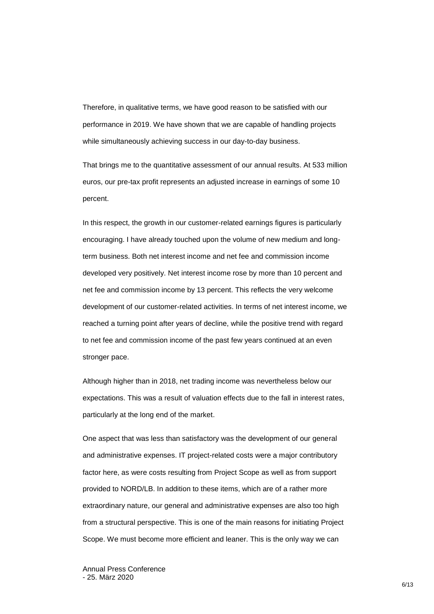Therefore, in qualitative terms, we have good reason to be satisfied with our performance in 2019. We have shown that we are capable of handling projects while simultaneously achieving success in our day-to-day business.

That brings me to the quantitative assessment of our annual results. At 533 million euros, our pre-tax profit represents an adjusted increase in earnings of some 10 percent.

In this respect, the growth in our customer-related earnings figures is particularly encouraging. I have already touched upon the volume of new medium and longterm business. Both net interest income and net fee and commission income developed very positively. Net interest income rose by more than 10 percent and net fee and commission income by 13 percent. This reflects the very welcome development of our customer-related activities. In terms of net interest income, we reached a turning point after years of decline, while the positive trend with regard to net fee and commission income of the past few years continued at an even stronger pace.

Although higher than in 2018, net trading income was nevertheless below our expectations. This was a result of valuation effects due to the fall in interest rates, particularly at the long end of the market.

One aspect that was less than satisfactory was the development of our general and administrative expenses. IT project-related costs were a major contributory factor here, as were costs resulting from Project Scope as well as from support provided to NORD/LB. In addition to these items, which are of a rather more extraordinary nature, our general and administrative expenses are also too high from a structural perspective. This is one of the main reasons for initiating Project Scope. We must become more efficient and leaner. This is the only way we can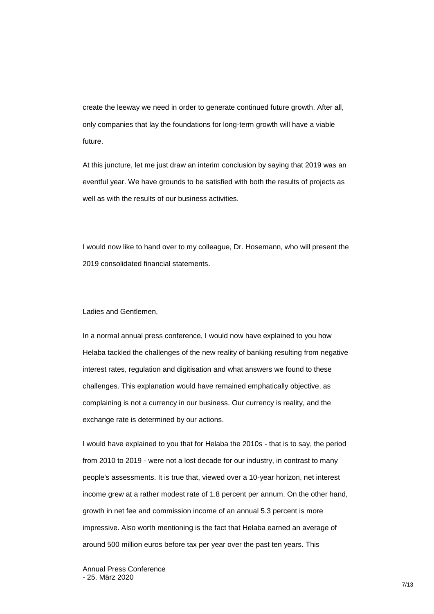create the leeway we need in order to generate continued future growth. After all, only companies that lay the foundations for long-term growth will have a viable future.

At this juncture, let me just draw an interim conclusion by saying that 2019 was an eventful year. We have grounds to be satisfied with both the results of projects as well as with the results of our business activities.

I would now like to hand over to my colleague, Dr. Hosemann, who will present the 2019 consolidated financial statements.

## Ladies and Gentlemen,

In a normal annual press conference, I would now have explained to you how Helaba tackled the challenges of the new reality of banking resulting from negative interest rates, regulation and digitisation and what answers we found to these challenges. This explanation would have remained emphatically objective, as complaining is not a currency in our business. Our currency is reality, and the exchange rate is determined by our actions.

I would have explained to you that for Helaba the 2010s - that is to say, the period from 2010 to 2019 - were not a lost decade for our industry, in contrast to many people's assessments. It is true that, viewed over a 10-year horizon, net interest income grew at a rather modest rate of 1.8 percent per annum. On the other hand, growth in net fee and commission income of an annual 5.3 percent is more impressive. Also worth mentioning is the fact that Helaba earned an average of around 500 million euros before tax per year over the past ten years. This

Annual Press Conference - 25. März 2020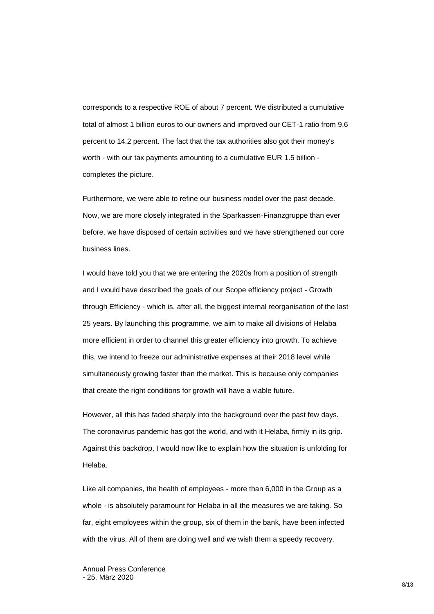corresponds to a respective ROE of about 7 percent. We distributed a cumulative total of almost 1 billion euros to our owners and improved our CET-1 ratio from 9.6 percent to 14.2 percent. The fact that the tax authorities also got their money's worth - with our tax payments amounting to a cumulative EUR 1.5 billion completes the picture.

Furthermore, we were able to refine our business model over the past decade. Now, we are more closely integrated in the Sparkassen-Finanzgruppe than ever before, we have disposed of certain activities and we have strengthened our core business lines.

I would have told you that we are entering the 2020s from a position of strength and I would have described the goals of our Scope efficiency project - Growth through Efficiency - which is, after all, the biggest internal reorganisation of the last 25 years. By launching this programme, we aim to make all divisions of Helaba more efficient in order to channel this greater efficiency into growth. To achieve this, we intend to freeze our administrative expenses at their 2018 level while simultaneously growing faster than the market. This is because only companies that create the right conditions for growth will have a viable future.

However, all this has faded sharply into the background over the past few days. The coronavirus pandemic has got the world, and with it Helaba, firmly in its grip. Against this backdrop, I would now like to explain how the situation is unfolding for Helaba.

Like all companies, the health of employees - more than 6,000 in the Group as a whole - is absolutely paramount for Helaba in all the measures we are taking. So far, eight employees within the group, six of them in the bank, have been infected with the virus. All of them are doing well and we wish them a speedy recovery.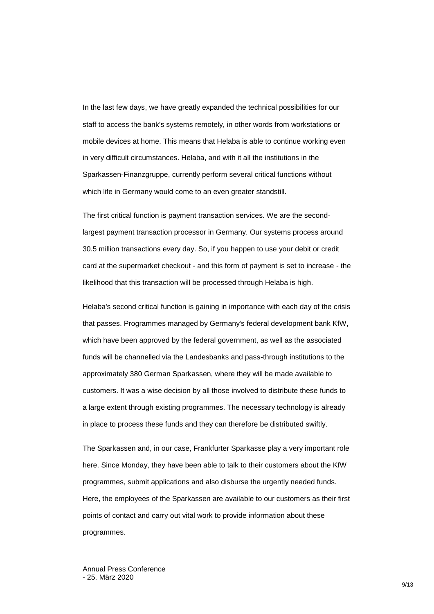In the last few days, we have greatly expanded the technical possibilities for our staff to access the bank's systems remotely, in other words from workstations or mobile devices at home. This means that Helaba is able to continue working even in very difficult circumstances. Helaba, and with it all the institutions in the Sparkassen-Finanzgruppe, currently perform several critical functions without which life in Germany would come to an even greater standstill.

The first critical function is payment transaction services. We are the secondlargest payment transaction processor in Germany. Our systems process around 30.5 million transactions every day. So, if you happen to use your debit or credit card at the supermarket checkout - and this form of payment is set to increase - the likelihood that this transaction will be processed through Helaba is high.

Helaba's second critical function is gaining in importance with each day of the crisis that passes. Programmes managed by Germany's federal development bank KfW, which have been approved by the federal government, as well as the associated funds will be channelled via the Landesbanks and pass-through institutions to the approximately 380 German Sparkassen, where they will be made available to customers. It was a wise decision by all those involved to distribute these funds to a large extent through existing programmes. The necessary technology is already in place to process these funds and they can therefore be distributed swiftly.

The Sparkassen and, in our case, Frankfurter Sparkasse play a very important role here. Since Monday, they have been able to talk to their customers about the KfW programmes, submit applications and also disburse the urgently needed funds. Here, the employees of the Sparkassen are available to our customers as their first points of contact and carry out vital work to provide information about these programmes.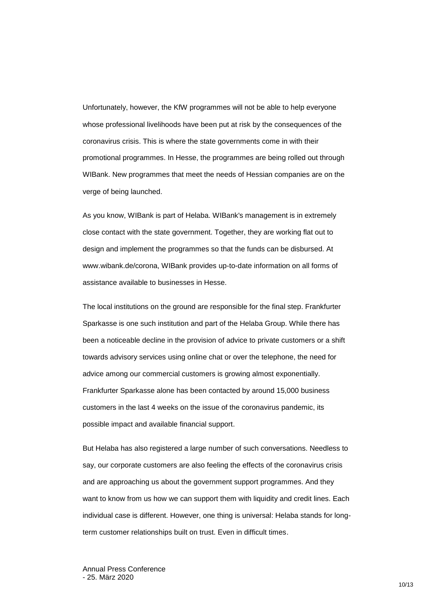Unfortunately, however, the KfW programmes will not be able to help everyone whose professional livelihoods have been put at risk by the consequences of the coronavirus crisis. This is where the state governments come in with their promotional programmes. In Hesse, the programmes are being rolled out through WIBank. New programmes that meet the needs of Hessian companies are on the verge of being launched.

As you know, WIBank is part of Helaba. WIBank's management is in extremely close contact with the state government. Together, they are working flat out to design and implement the programmes so that the funds can be disbursed. At www.wibank.de/corona, WIBank provides up-to-date information on all forms of assistance available to businesses in Hesse.

The local institutions on the ground are responsible for the final step. Frankfurter Sparkasse is one such institution and part of the Helaba Group. While there has been a noticeable decline in the provision of advice to private customers or a shift towards advisory services using online chat or over the telephone, the need for advice among our commercial customers is growing almost exponentially. Frankfurter Sparkasse alone has been contacted by around 15,000 business customers in the last 4 weeks on the issue of the coronavirus pandemic, its possible impact and available financial support.

But Helaba has also registered a large number of such conversations. Needless to say, our corporate customers are also feeling the effects of the coronavirus crisis and are approaching us about the government support programmes. And they want to know from us how we can support them with liquidity and credit lines. Each individual case is different. However, one thing is universal: Helaba stands for longterm customer relationships built on trust. Even in difficult times.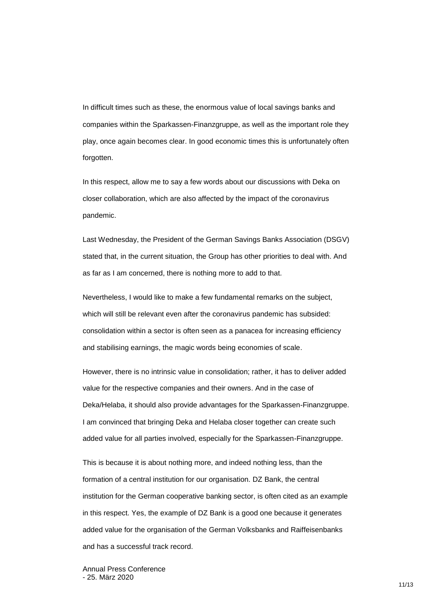In difficult times such as these, the enormous value of local savings banks and companies within the Sparkassen-Finanzgruppe, as well as the important role they play, once again becomes clear. In good economic times this is unfortunately often forgotten.

In this respect, allow me to say a few words about our discussions with Deka on closer collaboration, which are also affected by the impact of the coronavirus pandemic.

Last Wednesday, the President of the German Savings Banks Association (DSGV) stated that, in the current situation, the Group has other priorities to deal with. And as far as I am concerned, there is nothing more to add to that.

Nevertheless, I would like to make a few fundamental remarks on the subject, which will still be relevant even after the coronavirus pandemic has subsided: consolidation within a sector is often seen as a panacea for increasing efficiency and stabilising earnings, the magic words being economies of scale.

However, there is no intrinsic value in consolidation; rather, it has to deliver added value for the respective companies and their owners. And in the case of Deka/Helaba, it should also provide advantages for the Sparkassen-Finanzgruppe. I am convinced that bringing Deka and Helaba closer together can create such added value for all parties involved, especially for the Sparkassen-Finanzgruppe.

This is because it is about nothing more, and indeed nothing less, than the formation of a central institution for our organisation. DZ Bank, the central institution for the German cooperative banking sector, is often cited as an example in this respect. Yes, the example of DZ Bank is a good one because it generates added value for the organisation of the German Volksbanks and Raiffeisenbanks and has a successful track record.

Annual Press Conference - 25. März 2020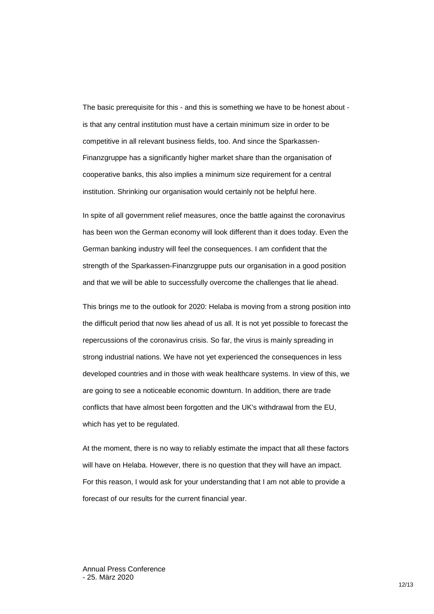The basic prerequisite for this - and this is something we have to be honest about is that any central institution must have a certain minimum size in order to be competitive in all relevant business fields, too. And since the Sparkassen-Finanzgruppe has a significantly higher market share than the organisation of cooperative banks, this also implies a minimum size requirement for a central institution. Shrinking our organisation would certainly not be helpful here.

In spite of all government relief measures, once the battle against the coronavirus has been won the German economy will look different than it does today. Even the German banking industry will feel the consequences. I am confident that the strength of the Sparkassen-Finanzgruppe puts our organisation in a good position and that we will be able to successfully overcome the challenges that lie ahead.

This brings me to the outlook for 2020: Helaba is moving from a strong position into the difficult period that now lies ahead of us all. It is not yet possible to forecast the repercussions of the coronavirus crisis. So far, the virus is mainly spreading in strong industrial nations. We have not yet experienced the consequences in less developed countries and in those with weak healthcare systems. In view of this, we are going to see a noticeable economic downturn. In addition, there are trade conflicts that have almost been forgotten and the UK's withdrawal from the EU, which has yet to be regulated.

At the moment, there is no way to reliably estimate the impact that all these factors will have on Helaba. However, there is no question that they will have an impact. For this reason, I would ask for your understanding that I am not able to provide a forecast of our results for the current financial year.